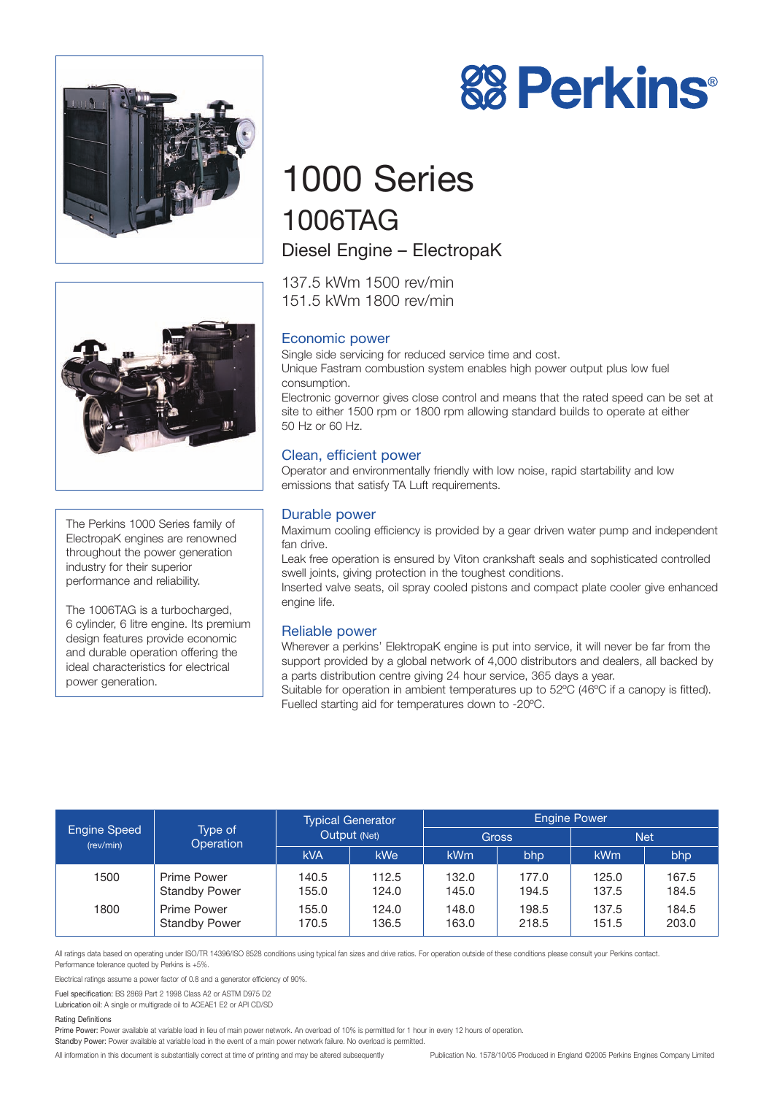



# 1000 Series 1006TAG Diesel Engine – ElectropaK

137.5 kWm 1500 rev/min 151.5 kWm 1800 rev/min

# Economic power

Single side servicing for reduced service time and cost. Unique Fastram combustion system enables high power output plus low fuel consumption. Electronic governor gives close control and means that the rated speed can be set at

site to either 1500 rpm or 1800 rpm allowing standard builds to operate at either 50 Hz or 60 Hz.

# Clean, efficient power

Operator and environmentally friendly with low noise, rapid startability and low emissions that satisfy TA Luft requirements.

# Durable power

Maximum cooling efficiency is provided by a gear driven water pump and independent fan drive.

Leak free operation is ensured by Viton crankshaft seals and sophisticated controlled swell joints, giving protection in the toughest conditions.

Inserted valve seats, oil spray cooled pistons and compact plate cooler give enhanced engine life.

### Reliable power

Wherever a perkins' ElektropaK engine is put into service, it will never be far from the support provided by a global network of 4,000 distributors and dealers, all backed by a parts distribution centre giving 24 hour service, 365 days a year.

Suitable for operation in ambient temperatures up to 52ºC (46ºC if a canopy is fitted). Fuelled starting aid for temperatures down to -20ºC.

| <b>Engine Speed</b><br>(rev/min) | Type of<br>Operation                       | <b>Typical Generator</b><br>Output (Net) |                | <b>Engine Power</b> |                |                |                |
|----------------------------------|--------------------------------------------|------------------------------------------|----------------|---------------------|----------------|----------------|----------------|
|                                  |                                            |                                          |                | <b>Gross</b>        |                | <b>Net</b>     |                |
|                                  |                                            | <b>kVA</b>                               | <b>kWe</b>     | kWm                 | bhp            | kWm            | bhp            |
| 1500                             | <b>Prime Power</b><br><b>Standby Power</b> | 140.5<br>155.0                           | 112.5<br>124.0 | 132.0<br>145.0      | 177.0<br>194.5 | 125.0<br>137.5 | 167.5<br>184.5 |
| 1800                             | <b>Prime Power</b><br><b>Standby Power</b> | 155.0<br>170.5                           | 124.0<br>136.5 | 148.0<br>163.0      | 198.5<br>218.5 | 137.5<br>151.5 | 184.5<br>203.0 |

All ratings data based on operating under ISO/TR 14396/ISO 8528 conditions using typical fan sizes and drive ratios. For operation outside of these conditions please consult your Perkins contact. Performance tolerance quoted by Perkins is +5%.

Electrical ratings assume a power factor of 0.8 and a generator efficiency of 90%.

Fuel specification: BS 2869 Part 2 1998 Class A2 or ASTM D975 D2

Lubrication oil: A single or multigrade oil to ACEAE1 E2 or API CD/SD

#### Rating Definitions

Prime Power: Power available at variable load in lieu of main power network. An overload of 10% is permitted for 1 hour in every 12 hours of operation.

Standby Power: Power available at variable load in the event of a main power network failure. No overload is permitted.

All information in this document is substantially correct at time of printing and may be altered subsequently Publication No. 1578/10/05 Produced in England ©2005 Perkins Engines Company Limited



The Perkins 1000 Series family of ElectropaK engines are renowned throughout the power generation industry for their superior performance and reliability.

The 1006TAG is a turbocharged, 6 cylinder, 6 litre engine. Its premium design features provide economic and durable operation offering the ideal characteristics for electrical power generation.